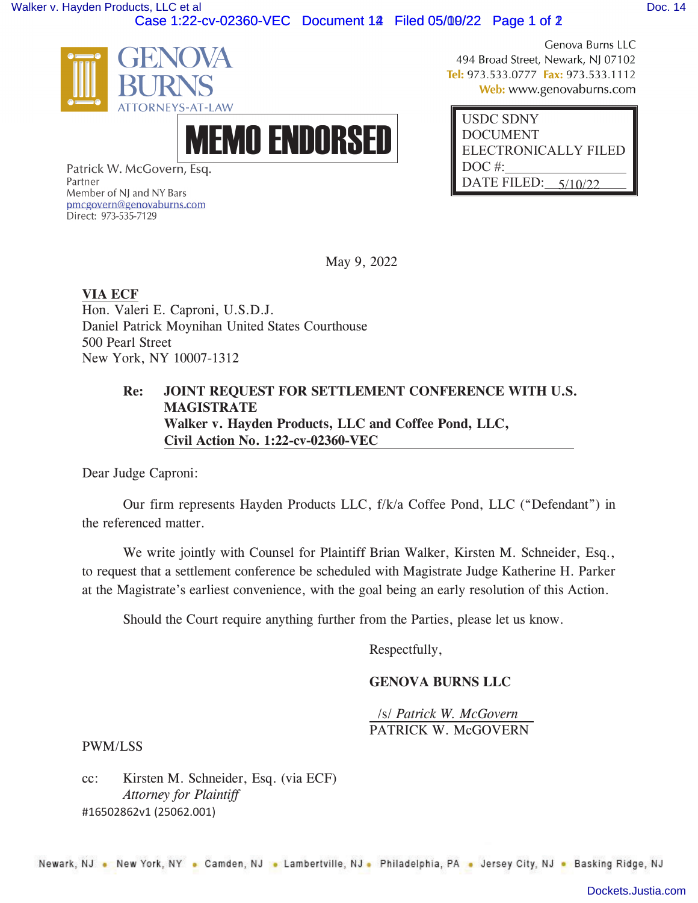[Walker v. Hayden Products, LLC et al](https://dockets.justia.com/docket/new-york/nysdce/1:2022cv02360/577077/) **[Doc. 14](https://docs.justia.com/cases/federal/district-courts/new-york/nysdce/1:2022cv02360/577077/14/)**<br>Case 1:22-cv-02360-VEC Document 14 Filed 05/00/22 Page 1 of 2



MEMO ENDORSED

Genova Burns LLC 494 Broad Street, Newark, NJ 07102 Tel: 973.533.0777 Fax: 973.533.1112 Web: www.genovaburns.com

| <b>USDC SDNY</b>      |
|-----------------------|
| <b>DOCUMENT</b>       |
| ELECTRONICALLY FILED  |
| DOC#:                 |
| DATE FILED: $5/10/22$ |

Patrick W. McGovern, Esq. Partner Member of NJ and NY Bars pmcgovern@genovaburns.com Direct: 973-535-7129

May 9, 2022

**VIA ECF**  Hon. Valeri E. Caproni, U.S.D.J. Daniel Patrick Moynihan United States Courthouse 500 Pearl Street New York, NY 10007-1312

## **Re: JOINT REQUEST FOR SETTLEMENT CONFERENCE WITH U.S. MAGISTRATE Walker v. Hayden Products, LLC and Coffee Pond, LLC, Civil Action No. 1:22-cv-02360-VEC**

Dear Judge Caproni:

Our firm represents Hayden Products LLC, f/k/a Coffee Pond, LLC ("Defendant") in the referenced matter.

We write jointly with Counsel for Plaintiff Brian Walker, Kirsten M. Schneider, Esq., to request that a settlement conference be scheduled with Magistrate Judge Katherine H. Parker at the Magistrate's earliest convenience, with the goal being an early resolution of this Action.

Should the Court require anything further from the Parties, please let us know.

Respectfully,

## **GENOVA BURNS LLC**

 /s/ *Patrick W. McGovern*  PATRICK W. McGOVERN

PWM/LSS

#16502862v1 (25062.001) cc: Kirsten M. Schneider, Esq. (via ECF) *Attorney for Plaintiff*